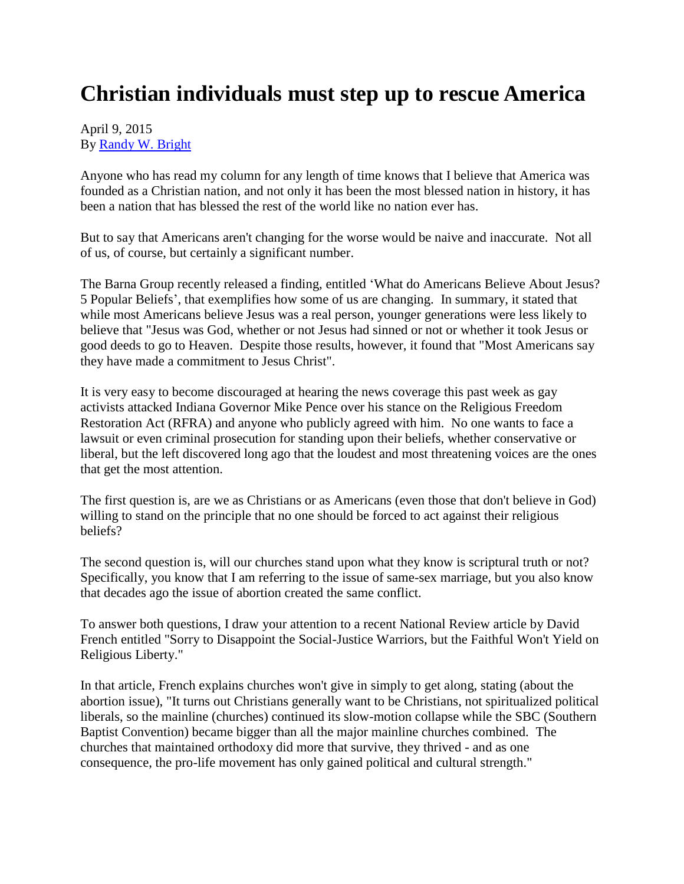## **Christian individuals must step up to rescue America**

## April 9, 2015 By [Randy W. Bright](http://www.tulsabeacon.com/author/slug-o6yd1v)

Anyone who has read my column for any length of time knows that I believe that America was founded as a Christian nation, and not only it has been the most blessed nation in history, it has been a nation that has blessed the rest of the world like no nation ever has.

But to say that Americans aren't changing for the worse would be naive and inaccurate. Not all of us, of course, but certainly a significant number.

The Barna Group recently released a finding, entitled 'What do Americans Believe About Jesus? 5 Popular Beliefs', that exemplifies how some of us are changing. In summary, it stated that while most Americans believe Jesus was a real person, younger generations were less likely to believe that "Jesus was God, whether or not Jesus had sinned or not or whether it took Jesus or good deeds to go to Heaven. Despite those results, however, it found that "Most Americans say they have made a commitment to Jesus Christ".

It is very easy to become discouraged at hearing the news coverage this past week as gay activists attacked Indiana Governor Mike Pence over his stance on the Religious Freedom Restoration Act (RFRA) and anyone who publicly agreed with him. No one wants to face a lawsuit or even criminal prosecution for standing upon their beliefs, whether conservative or liberal, but the left discovered long ago that the loudest and most threatening voices are the ones that get the most attention.

The first question is, are we as Christians or as Americans (even those that don't believe in God) willing to stand on the principle that no one should be forced to act against their religious beliefs?

The second question is, will our churches stand upon what they know is scriptural truth or not? Specifically, you know that I am referring to the issue of same-sex marriage, but you also know that decades ago the issue of abortion created the same conflict.

To answer both questions, I draw your attention to a recent National Review article by David French entitled "Sorry to Disappoint the Social-Justice Warriors, but the Faithful Won't Yield on Religious Liberty."

In that article, French explains churches won't give in simply to get along, stating (about the abortion issue), "It turns out Christians generally want to be Christians, not spiritualized political liberals, so the mainline (churches) continued its slow-motion collapse while the SBC (Southern Baptist Convention) became bigger than all the major mainline churches combined. The churches that maintained orthodoxy did more that survive, they thrived - and as one consequence, the pro-life movement has only gained political and cultural strength."